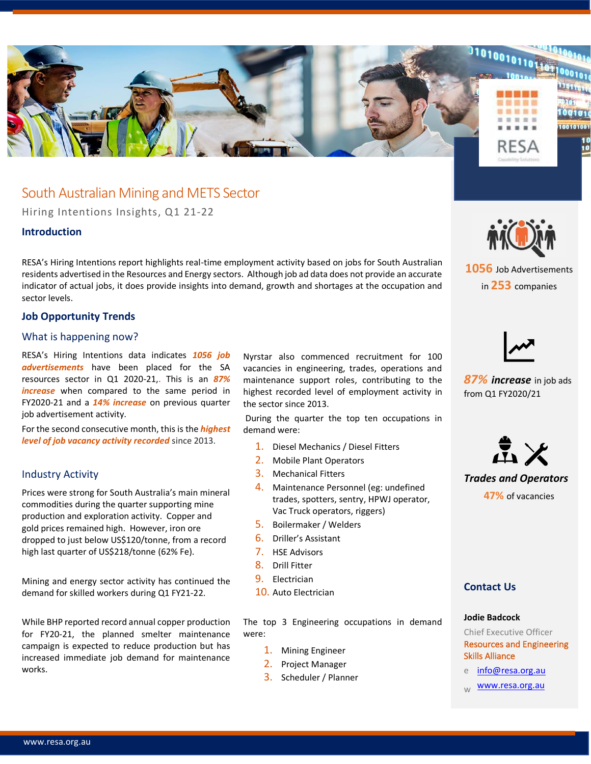

# South Australian Mining and METS Sector

Hiring Intentions Insights, Q1 21-22

## **Introduction**

RESA's Hiring Intentions report highlights real-time employment activity based on jobs for South Australian residents advertised in the Resources and Energy sectors. Although job ad data does not provide an accurate indicator of actual jobs, it does provide insights into demand, growth and shortages at the occupation and sector levels.

## **Job Opportunity Trends**

## What is happening now?

RESA's Hiring Intentions data indicates *1056 job advertisements* have been placed for the SA resources sector in Q1 2020-21,. This is an *87% increase* when compared to the same period in FY2020-21 and a *14% increase* on previous quarter job advertisement activity.

For the second consecutive month, this is the *highest level of job vacancy activity recorded* since 2013.

## Industry Activity

Prices were strong for South Australia's main mineral commodities during the quarter supporting mine production and exploration activity. Copper and gold prices remained high. However, iron ore dropped to just below US\$120/tonne, from a record high last quarter of US\$218/tonne (62% Fe).

Mining and energy sector activity has continued the demand for skilled workers during Q1 FY21-22.

While BHP reported record annual copper production for FY20-21, the planned smelter maintenance campaign is expected to reduce production but has increased immediate job demand for maintenance works.

Nyrstar also commenced recruitment for 100 vacancies in engineering, trades, operations and maintenance support roles, contributing to the highest recorded level of employment activity in the sector since 2013.

During the quarter the top ten occupations in demand were:

- 1. Diesel Mechanics / Diesel Fitters
- 2. Mobile Plant Operators
- 3. Mechanical Fitters
- 4. Maintenance Personnel (eg: undefined trades, spotters, sentry, HPWJ operator, Vac Truck operators, riggers)
- 5. Boilermaker / Welders
- 6. Driller's Assistant
- 7. HSE Advisors
- 8. Drill Fitter
- 9. Electrician
- 10. Auto Electrician

The top 3 Engineering occupations in demand were:

- 1. Mining Engineer
- 2. Project Manager
- 3. Scheduler / Planner



**1056** Job Advertisements in **253** companies



*87% increase* in job ads from Q1 FY2020/21



*Trades and Operators* **47%** of vacancies

## **Contact Us**

#### **Jodie Badcock**

Chief Executive Officer Resources and Engineering Skills Alliance

- e [info@resa.org.au](mailto:info@resa.org.au)
- [www.resa.org.au](http://www.resa.org.au/)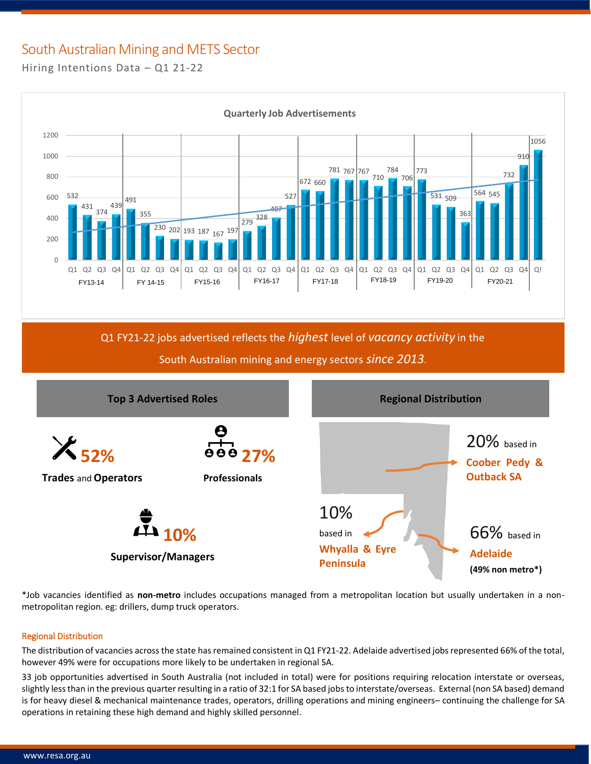# South Australian Mining and METS Sector

Hiring Intentions Data – Q1 21-22



Q1 FY21-22 jobs advertised reflects the *highest* level of *vacancy activity* in the



\*Job vacancies identified as **non-metro** includes occupations managed from a metropolitan location but usually undertaken in a nonmetropolitan region. eg: drillers, dump truck operators.

## Regional Distribution

The distribution of vacancies across the state has remained consistent in Q1 FY21-22. Adelaide advertised jobs represented 66% of the total, however 49% were for occupations more likely to be undertaken in regional SA.

33 job opportunities advertised in South Australia (not included in total) were for positions requiring relocation interstate or overseas, slightly less than in the previous quarter resulting in a ratio of 32:1 for SA based jobs to interstate/overseas. External (non SA based) demand is for heavy diesel & mechanical maintenance trades, operators, drilling operations and mining engineers– continuing the challenge for SA operations in retaining these high demand and highly skilled personnel.